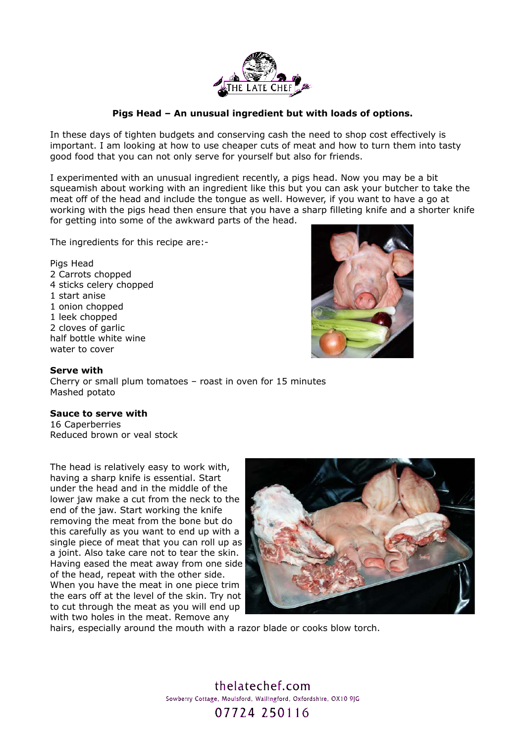

## **Pigs Head – An unusual ingredient but with loads of options.**

In these days of tighten budgets and conserving cash the need to shop cost effectively is important. I am looking at how to use cheaper cuts of meat and how to turn them into tasty good food that you can not only serve for yourself but also for friends.

I experimented with an unusual ingredient recently, a pigs head. Now you may be a bit squeamish about working with an ingredient like this but you can ask your butcher to take the meat off of the head and include the tongue as well. However, if you want to have a go at working with the pigs head then ensure that you have a sharp filleting knife and a shorter knife for getting into some of the awkward parts of the head.

The ingredients for this recipe are:-

Pigs Head 2 Carrots chopped 4 sticks celery chopped 1 start anise 1 onion chopped 1 leek chopped 2 cloves of garlic half bottle white wine water to cover



## **Serve with**

Cherry or small plum tomatoes – roast in oven for 15 minutes Mashed potato

## **Sauce to serve with**

16 Caperberries Reduced brown or veal stock

The head is relatively easy to work with, having a sharp knife is essential. Start under the head and in the middle of the lower jaw make a cut from the neck to the end of the jaw. Start working the knife removing the meat from the bone but do this carefully as you want to end up with a single piece of meat that you can roll up as a joint. Also take care not to tear the skin. Having eased the meat away from one side of the head, repeat with the other side. When you have the meat in one piece trim the ears off at the level of the skin. Try not to cut through the meat as you will end up with two holes in the meat. Remove any



hairs, especially around the mouth with a razor blade or cooks blow torch.

thelatechef.com Sowberry Cottage, Moulsford, Wallingford, Oxfordshire, OX10 9JG 07724 250116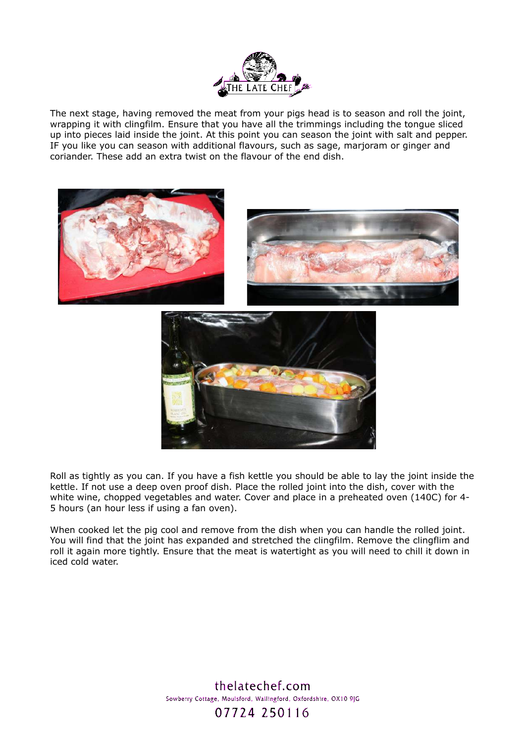

The next stage, having removed the meat from your pigs head is to season and roll the joint, wrapping it with clingfilm. Ensure that you have all the trimmings including the tongue sliced up into pieces laid inside the joint. At this point you can season the joint with salt and pepper. IF you like you can season with additional flavours, such as sage, marjoram or ginger and coriander. These add an extra twist on the flavour of the end dish.



Roll as tightly as you can. If you have a fish kettle you should be able to lay the joint inside the kettle. If not use a deep oven proof dish. Place the rolled joint into the dish, cover with the white wine, chopped vegetables and water. Cover and place in a preheated oven (140C) for 4- 5 hours (an hour less if using a fan oven).

When cooked let the pig cool and remove from the dish when you can handle the rolled joint. You will find that the joint has expanded and stretched the clingfilm. Remove the clingflim and roll it again more tightly. Ensure that the meat is watertight as you will need to chill it down in iced cold water.

> thelatechef.com Sowberry Cottage, Moulsford, Wallingford, Oxfordshire, OX10 9JG 07724 250116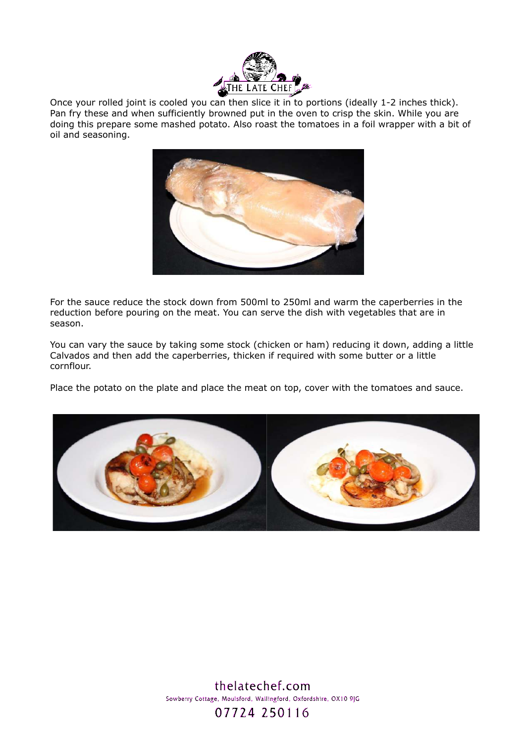

Once your rolled joint is cooled you can then slice it in to portions (ideally 1-2 inches thick). Pan fry these and when sufficiently browned put in the oven to crisp the skin. While you are doing this prepare some mashed potato. Also roast the tomatoes in a foil wrapper with a bit of oil and seasoning.



For the sauce reduce the stock down from 500ml to 250ml and warm the caperberries in the reduction before pouring on the meat. You can serve the dish with vegetables that are in season.

You can vary the sauce by taking some stock (chicken or ham) reducing it down, adding a little Calvados and then add the caperberries, thicken if required with some butter or a little cornflour.

Place the potato on the plate and place the meat on top, cover with the tomatoes and sauce.